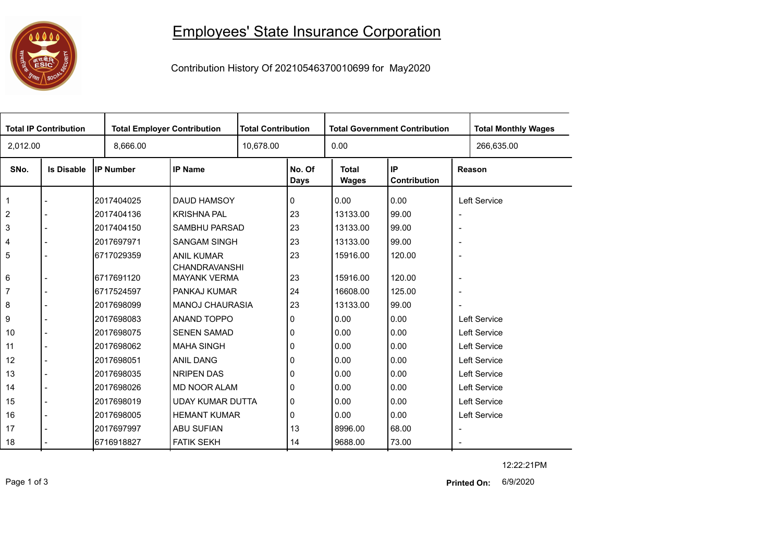## **1000**

## Employees' State Insurance Corporation

Contribution History Of 20210546370010699 for May2020

| <b>Total IP Contribution</b> |                   |                  | <b>Total Employer Contribution</b>        |  | <b>Total Contribution</b> |                       | <b>Total Government Contribution</b> | <b>Total Monthly Wages</b> |            |
|------------------------------|-------------------|------------------|-------------------------------------------|--|---------------------------|-----------------------|--------------------------------------|----------------------------|------------|
| 2,012.00                     |                   | 8,666.00         |                                           |  | 10,678.00                 |                       |                                      |                            | 266,635.00 |
| SNo.                         | <b>Is Disable</b> | <b>IP Number</b> | <b>IP Name</b>                            |  | No. Of<br>Days            | <b>Total</b><br>Wages | <b>IP</b><br>Contribution            | Reason                     |            |
|                              |                   | 2017404025       | DAUD HAMSOY                               |  | 0                         | 0.00                  | 0.00                                 | Left Service               |            |
| $\overline{2}$               |                   | 2017404136       | <b>KRISHNA PAL</b>                        |  | 23                        | 13133.00              | 99.00                                | $\overline{\phantom{a}}$   |            |
| 3                            |                   | 2017404150       | SAMBHU PARSAD                             |  | 23                        | 13133.00              | 99.00                                | $\overline{\phantom{a}}$   |            |
| 4                            |                   | 2017697971       | <b>SANGAM SINGH</b>                       |  | 23                        | 13133.00              | 99.00                                | $\overline{\phantom{a}}$   |            |
| 5                            |                   | 6717029359       | <b>ANIL KUMAR</b><br><b>CHANDRAVANSHI</b> |  | 23                        | 15916.00              | 120.00                               | $\overline{\phantom{a}}$   |            |
| 6                            |                   | 6717691120       | <b>MAYANK VERMA</b>                       |  | 23                        | 15916.00              | 120.00                               | $\overline{\phantom{a}}$   |            |
| 7                            |                   | 6717524597       | PANKAJ KUMAR                              |  | 24                        | 16608.00              | 125.00                               | $\overline{\phantom{a}}$   |            |
| 8                            |                   | 2017698099       | <b>MANOJ CHAURASIA</b>                    |  | 23                        | 13133.00              | 99.00                                |                            |            |
| 9                            |                   | 2017698083       | ANAND TOPPO                               |  | 0                         | 0.00                  | 0.00                                 | <b>Left Service</b>        |            |
| 10                           |                   | 2017698075       | <b>SENEN SAMAD</b>                        |  | 0                         | 0.00                  | 0.00                                 | Left Service               |            |
| 11                           | $\overline{a}$    | 2017698062       | <b>MAHA SINGH</b>                         |  | 0                         | 0.00                  | 0.00                                 | Left Service               |            |
| 12                           |                   | 2017698051       | ANIL DANG                                 |  | 0                         | 0.00                  | 0.00                                 | Left Service               |            |
| 13                           | $\blacksquare$    | 2017698035       | NRIPEN DAS                                |  | 0                         | 0.00                  | 0.00                                 | Left Service               |            |
| 14                           |                   | 2017698026       | <b>MD NOOR ALAM</b>                       |  | 0                         | 0.00                  | 0.00                                 | <b>Left Service</b>        |            |
| 15                           | $\overline{a}$    | 2017698019       | <b>UDAY KUMAR DUTTA</b>                   |  | 0                         | 0.00                  | 0.00                                 | Left Service               |            |
| 16                           |                   | 2017698005       | <b>HEMANT KUMAR</b>                       |  | 0                         | 0.00                  | 0.00                                 | Left Service               |            |
| 17                           |                   | 2017697997       | <b>ABU SUFIAN</b>                         |  | 13                        | 8996.00               | 68.00                                | $\overline{\phantom{a}}$   |            |
| 18                           |                   | 6716918827       | <b>FATIK SEKH</b>                         |  | 14                        | 9688.00               | 73.00                                | $\sim$                     |            |

12:22:21PM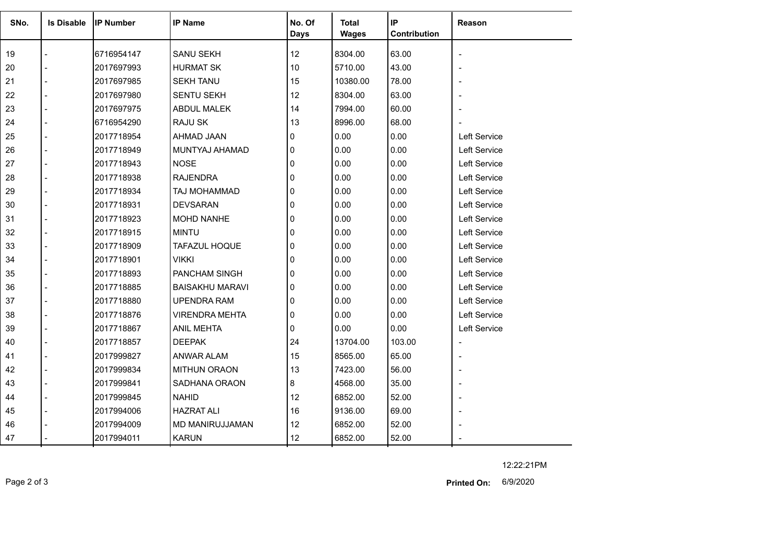| SNo. | <b>Is Disable</b> | <b>IP Number</b> | <b>IP Name</b>         | No. Of<br>Days | Total<br><b>Wages</b> | IP<br>Contribution | Reason              |
|------|-------------------|------------------|------------------------|----------------|-----------------------|--------------------|---------------------|
|      |                   |                  |                        | 12             |                       |                    |                     |
| 19   |                   | 6716954147       | <b>SANU SEKH</b>       |                | 8304.00               | 63.00              |                     |
| 20   |                   | 2017697993       | <b>HURMAT SK</b>       | 10             | 5710.00               | 43.00              |                     |
| 21   |                   | 2017697985       | <b>SEKH TANU</b>       | 15             | 10380.00              | 78.00              |                     |
| 22   |                   | 2017697980       | <b>SENTU SEKH</b>      | 12             | 8304.00               | 63.00              |                     |
| 23   |                   | 2017697975       | <b>ABDUL MALEK</b>     | 14             | 7994.00               | 60.00              |                     |
| 24   |                   | 6716954290       | <b>RAJU SK</b>         | 13             | 8996.00               | 68.00              |                     |
| 25   |                   | 2017718954       | AHMAD JAAN             | 0              | 0.00                  | 0.00               | Left Service        |
| 26   |                   | 2017718949       | MUNTYAJ AHAMAD         | 0              | 0.00                  | 0.00               | <b>Left Service</b> |
| 27   |                   | 2017718943       | <b>NOSE</b>            | 0              | 0.00                  | 0.00               | Left Service        |
| 28   |                   | 2017718938       | <b>RAJENDRA</b>        | 0              | 0.00                  | 0.00               | Left Service        |
| 29   |                   | 2017718934       | TAJ MOHAMMAD           | 0              | 0.00                  | 0.00               | Left Service        |
| 30   |                   | 2017718931       | <b>DEVSARAN</b>        | 0              | 0.00                  | 0.00               | Left Service        |
| 31   |                   | 2017718923       | <b>MOHD NANHE</b>      | 0              | 0.00                  | 0.00               | Left Service        |
| 32   |                   | 2017718915       | <b>MINTU</b>           | $\Omega$       | 0.00                  | 0.00               | Left Service        |
| 33   |                   | 2017718909       | TAFAZUL HOQUE          | 0              | 0.00                  | 0.00               | Left Service        |
| 34   |                   | 2017718901       | <b>VIKKI</b>           | 0              | 0.00                  | 0.00               | Left Service        |
| 35   |                   | 2017718893       | PANCHAM SINGH          | 0              | 0.00                  | 0.00               | Left Service        |
| 36   |                   | 2017718885       | <b>BAISAKHU MARAVI</b> | 0              | 0.00                  | 0.00               | Left Service        |
| 37   |                   | 2017718880       | <b>UPENDRA RAM</b>     | 0              | 0.00                  | 0.00               | Left Service        |
| 38   |                   | 2017718876       | <b>VIRENDRA MEHTA</b>  | 0              | 0.00                  | 0.00               | Left Service        |
| 39   |                   | 2017718867       | <b>ANIL MEHTA</b>      | 0              | 0.00                  | 0.00               | Left Service        |
| 40   |                   | 2017718857       | <b>DEEPAK</b>          | 24             | 13704.00              | 103.00             |                     |
| 41   |                   | 2017999827       | ANWAR ALAM             | 15             | 8565.00               | 65.00              |                     |
| 42   |                   | 2017999834       | <b>MITHUN ORAON</b>    | 13             | 7423.00               | 56.00              |                     |
| 43   |                   | 2017999841       | SADHANA ORAON          | 8              | 4568.00               | 35.00              |                     |
| 44   |                   | 2017999845       | <b>NAHID</b>           | 12             | 6852.00               | 52.00              |                     |
| 45   |                   | 2017994006       | <b>HAZRAT ALI</b>      | 16             | 9136.00               | 69.00              |                     |
| 46   |                   | 2017994009       | MD MANIRUJJAMAN        | 12             | 6852.00               | 52.00              |                     |
| 47   |                   | 2017994011       | <b>KARUN</b>           | 12             | 6852.00               | 52.00              |                     |

12:22:21PM